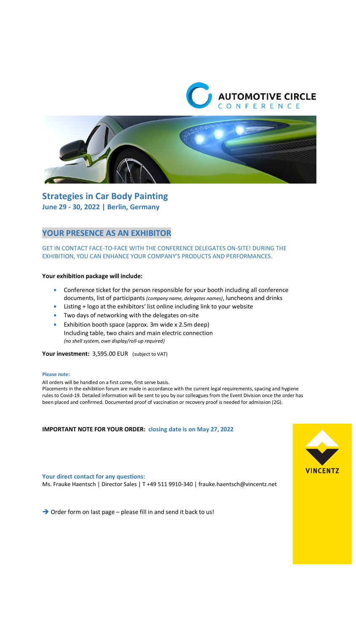



**Strategies in Car Body Painting June 29 - 30, 2022 | Berlin, Germany** 

## **YOUR PRESENCE AS AN EXHIBITOR**

## GET IN CONTACT FACE-TO-FACE WITH THE CONFERENCE DELEGATES ON-SITE! DURING THE EXHIBITION, YOU CAN ENHANCE YOUR COMPANY'S PRODUCTS AND PERFORMANCES.

### **Your exhibition package will include:**

- **•** Conference ticket for the person responsible for your booth including all conference documents, list of participants *(company name, delegates names)*, luncheons and drinks
- **•** Listing + logo at the exhibitors' list online including link to your website
- **•** Two days of networking with the delegates on-site
- **•** Exhibition booth space (approx. 3m wide x 2.5m deep) Including table, two chairs and main electric connection *(no shell system, own display/roll-up required)*

**Your investment:** 3,595.00 EUR (subject to VAT)

#### **Please note:**

All orders will be handled on a first come, first serve basis.

Placements in the exhibition forum are made in accordance with the current legal requirements, spacing and hygiene rules to Covid-19. Detailed information will be sent to you by our colleagues from the Event Division once the order has been placed and confirmed. Documented proof of vaccination or recovery proof is needed for admission (2G).

### **IMPORTANT NOTE FOR YOUR ORDER: closing date is on May 27, 2022**



**Your direct contact for any questions:** 

Ms. Frauke Haentsch | Director Sales | T +49 511 9910-340 | frauke.haentsch@vincentz.net

 $\rightarrow$  Order form on last page – please fill in and send it back to us!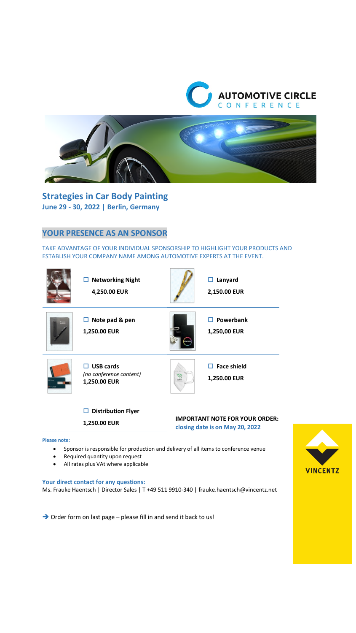



**Strategies in Car Body Painting June 29 - 30, 2022 | Berlin, Germany** 

# **YOUR PRESENCE AS AN SPONSOR**

TAKE ADVANTAGE OF YOUR INDIVIDUAL SPONSORSHIP TO HIGHLIGHT YOUR PRODUCTS AND ESTABLISH YOUR COMPANY NAME AMONG AUTOMOTIVE EXPERTS AT THE EVENT.



### **Distribution Flyer**

**1,250.00 EUR** 

## **IMPORTANT NOTE FOR YOUR ORDER:**

**closing date is on May 20, 2022**

#### **Please note:**

- Sponsor is responsible for production and delivery of all items to conference venue
- Required quantity upon request
- All rates plus VAt where applicable

### **Your direct contact for any questions:**

Ms. Frauke Haentsch | Director Sales | T +49 511 9910-340 | frauke.haentsch@vincentz.net

 $\rightarrow$  Order form on last page – please fill in and send it back to us!